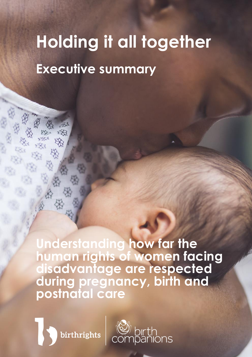# **Holding it all together Executive summary**

**Understanding how far the human rights of women facing disadvantage are respected during pregnancy, birth and postnatal care**

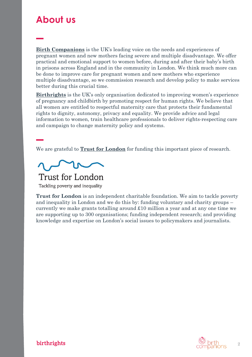## **About us**

**[Birth Companions](http://www.birthcompanions.org.uk/)** is the UK's leading voice on the needs and experiences of pregnant women and new mothers facing severe and multiple disadvantage. We offer practical and emotional support to women before, during and after their baby's birth in prisons across England and in the community in London. We think much more can be done to improve care for pregnant women and new mothers who experience multiple disadvantage, so we commission research and develop policy to make services better during this crucial time.

**[Birthrights](http://www.birthrights.org.uk/)** is the UK's only organisation dedicated to improving women's experience of pregnancy and childbirth by promoting respect for human rights. We believe that all women are entitled to respectful maternity care that protects their fundamental rights to dignity, autonomy, privacy and equality. We provide advice and legal information to women, train healthcare professionals to deliver rights-respecting care and campaign to change maternity policy and systems.

We are grateful to **[Trust for London](https://www.trustforlondon.org.uk/)** for funding this important piece of research.



**Trust for London** 

Tackling poverty and inequality

**Trust for London** is an independent charitable foundation. We aim to tackle poverty and inequality in London and we do this by: funding voluntary and charity groups – currently we make grants totalling around £10 million a year and at any one time we are supporting up to 300 organisations; funding independent research; and providing knowledge and expertise on London's social issues to policymakers and journalists.

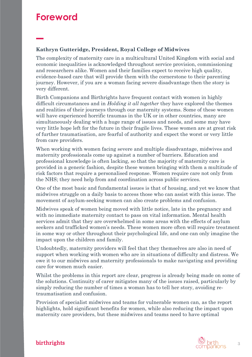### **Foreword**

#### **Kathryn Gutteridge, President, Royal College of Midwives**

The complexity of maternity care in a multicultural United Kingdom with social and economic inequalities is acknowledged throughout service provision, commissioning and researchers alike. Women and their families expect to receive high quality, evidence-based care that will provide them with the cornerstone to their parenting journey. However, if you are a woman facing severe disadvantage then the story is very different.

Birth Companions and Birthrights have frequent contact with women in highly difficult circumstances and in *Holding it all together* they have explored the themes and realities of their journeys through our maternity systems. Some of these women will have experienced horrific traumas in the UK or in other countries, many are simultaneously dealing with a huge range of issues and needs, and some may have very little hope left for the future in their fragile lives. These women are at great risk of further traumatisation, are fearful of authority and expect the worst or very little from care providers.

When working with women facing severe and multiple disadvantage, midwives and maternity professionals come up against a number of barriers. Education and professional knowledge is often lacking, so that the majority of maternity care is provided in a generic fashion, despite these women bringing with them a multitude of risk factors that require a personalised response. Women require care not only from the NHS; they need help from and coordination across public services.

One of the most basic and fundamental issues is that of housing, and yet we know that midwives struggle on a daily basis to access those who can assist with this issue. The movement of asylum-seeking women can also create problems and confusion.

Midwives speak of women being moved with little notice, late in the pregnancy and with no immediate maternity contact to pass on vital information. Mental health services admit that they are overwhelmed in some areas with the effects of asylum seekers and trafficked women's needs. These women more often will require treatment in some way or other throughout their psychological life, and one can only imagine the impact upon the children and family.

Undoubtedly, maternity providers will feel that they themselves are also in need of support when working with women who are in situations of difficulty and distress. We owe it to our midwives and maternity professionals to make navigating and providing care for women much easier.

Whilst the problems in this report are clear, progress is already being made on some of the solutions. Continuity of carer mitigates many of the issues raised, particularly by simply reducing the number of times a woman has to tell her story, avoiding retraumatisation and confusion.

Provision of specialist midwives and teams for vulnerable women can, as the report highlights, hold significant benefits for women, while also reducing the impact upon maternity care providers, but these midwives and teams need to have optimal

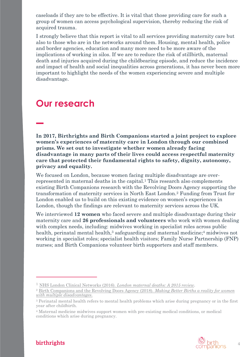caseloads if they are to be effective. It is vital that those providing care for such a group of women can access psychological supervision, thereby reducing the risk of acquired trauma.

I strongly believe that this report is vital to all services providing maternity care but also to those who are in the networks around them. Housing, mental health, police and border agencies, education and many more need to be more aware of the implications of working in silos. If we are to reduce the risk of stillbirth, maternal death and injuries acquired during the childbearing episode, and reduce the incidence and impact of health and social inequalities across generations, it has never been more important to highlight the needs of the women experiencing severe and multiple disadvantage.

### **Our research**

**In 2017, Birthrights and Birth Companions started a joint project to explore women's experiences of maternity care in London through our combined prisms. We set out to investigate whether women already facing disadvantage in many parts of their lives could access respectful maternity care that protected their fundamental rights to safety, dignity, autonomy, privacy and equality.**

We focused on London, because women facing multiple disadvantage are overrepresented in maternal deaths in the capital. <sup>1</sup> This research also complements existing Birth Companions research with the Revolving Doors Agency supporting the transformation of maternity services in North East London.<sup>2</sup> Funding from Trust for London enabled us to build on this existing evidence on women's experiences in London, though the findings are relevant to maternity services across the UK.

We interviewed **12 women** who faced severe and multiple disadvantage during their maternity care and **26 professionals and volunteers** who work with women dealing with complex needs, including: midwives working in specialist roles across public health, perinatal mental health,<sup>3</sup> safeguarding and maternal medicine;<sup>4</sup> midwives not working in specialist roles; specialist health visitors; Family Nurse Partnership (FNP) nurses; and Birth Companions volunteer birth supporters and staff members.

<sup>4</sup> Maternal medicine midwives support women with pre-existing medical conditions, or medical conditions which arise during pregnancy.



<sup>1</sup> NHS London Clinical Networks (2016). *[London maternal deaths: A 2015 review.](http://www.londonscn.nhs.uk/wp-content/uploads/2016/08/London-maternal-mortality-report-2015.pdf)*

<sup>2</sup> [Birth Companions and the Revolving Doors Agency \(2018\).](https://hubble-live-assets.s3.amazonaws.com/birth-companions/attachment/file/7/RDA_BC-REPORT_WEB_FINAL.pdf) *Making Better Births a reality for women [with multiple disadvantages](https://hubble-live-assets.s3.amazonaws.com/birth-companions/attachment/file/7/RDA_BC-REPORT_WEB_FINAL.pdf)*.

<sup>3</sup> Perinatal mental health refers to mental health problems which arise during pregnancy or in the first year after childbirth.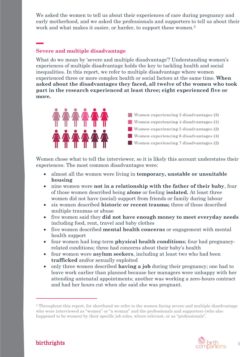We asked the women to tell us about their experiences of care during pregnancy and early motherhood, and we asked the professionals and supporters to tell us about their work and what makes it easier, or harder, to support these women.<sup>5</sup>

#### **Severe and multiple disadvantage**

What do we mean by 'severe and multiple disadvantage'? Understanding women's experiences of multiple disadvantage holds the key to tackling health and social inequalities. In this report, we refer to multiple disadvantage where women experienced three or more complex health or social factors at the same time. **When asked about the disadvantages they faced, all twelve of the women who took part in the research experienced at least three; eight experienced five or more.**



Women chose what to tell the interviewer, so it is likely this account understates their experiences. The most common disadvantages were:

- almost all the women were living in **temporary, unstable or unsuitable housing**
- nine women were **not in a relationship with the father of their baby**, four of those women described being **alone** or feeling **isolated.** At least three women did not have (social) support from friends or family during labour
- six women described **historic or recent trauma;** three of these described multiple traumas or abuse
- five women said they **did not have enough money to meet everyday needs** including food, rent, travel and baby clothes
- five women described **mental health concerns** or engagement with mental health support
- four women had long-term **physical health conditions**; four had pregnancyrelated conditions; three had concerns about their baby's health
- four women were **asylum seekers**, including at least two who had been **trafficked** and/or sexually exploited
- only three women described **having a job** during their pregnancy; one had to leave work earlier than planned because her managers were unhappy with her attending antenatal appointments; another was working a zero-hours contract and had her hours cut when she said she was pregnant.

<sup>&</sup>lt;sup>5</sup> Throughout this report, for shorthand we refer to the women facing severe and multiple disadvantage who were interviewed as "women" or "a woman" and the professionals and supporters (who also happened to be women) by their specific job roles, where relevant, or as "professionals".

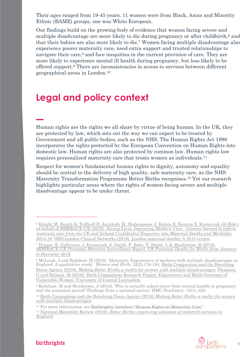Their ages ranged from 19-45 years. 11 women were from Black, Asian and Minority Ethnic (BAME) groups, one was White European.

Our findings build on the growing body of evidence that women facing severe and multiple disadvantage are more likely to die during pregnancy or after childbirth,<sup>6</sup> and that their babies are also more likely to die.<sup>7</sup> Women facing multiple disadvantage also experience poorer maternity care, need extra support and trusted relationships to navigate their care,<sup>8</sup> and face inequities in the current provision of care. They are more likely to experience mental ill health during pregnancy, but less likely to be offered support. <sup>9</sup> There are inconsistencies in access to services between different geographical areas in London. 10

### **Legal and policy context**

Human rights are the rights we all share by virtue of being human. In the UK, they are protected by law, which sets out the way we can expect to be treated by Government and all public bodies, such as the NHS. The Human Rights Act 1998 incorporates the rights protected by the European Convention on Human Rights into domestic law. Human rights are also protected by common law. Human rights law requires personalised maternity care that treats women as individuals.<sup>11</sup>

Respect for women's fundamental human rights to dignity, autonomy and equality should be central to the delivery of high quality, safe maternity care, as the NHS Maternity Transformation Programme Better Births recognises. <sup>12</sup> Yet our research highlights particular areas where the rights of women facing severe and multiple disadvantage appear to be under threat.

<sup>&</sup>lt;sup>11</sup> For more information see [Birthrights' factsheet "Human Rights in Maternity Care".](https://www.birthrights.org.uk/factsheets/human-rights-in-maternity-care/) <sup>12</sup> National Maternity Review (2016). *[Better Births: improving outcomes of maternity services in](https://www.england.nhs.uk/wp-content/uploads/2016/02/national-maternity-review-report.pdf) [England](https://www.england.nhs.uk/wp-content/uploads/2016/02/national-maternity-review-report.pdf)*.



<sup>6</sup> [Knight M, Bunch K, Tuffnell D, Jayakody H, Shakespeare J, Kotnis R, Kenyon S, Kurinczuk JJ \(Eds.\)](https://www.npeu.ox.ac.uk/downloads/files/mbrrace-uk/reports/MBRRACE-UK%20Maternal%20Report%202018%20-%20Web%20Version.pdf) on behalf of MBRRACE-UK (2018). *[Saving Lives, Improving Mothers' Care](https://www.npeu.ox.ac.uk/downloads/files/mbrrace-uk/reports/MBRRACE-UK%20Maternal%20Report%202018%20-%20Web%20Version.pdf) - Lessons learned to inform [maternity care from the UK and Ireland Confidential Enquiries into Maternal Deaths and Morbidity](https://www.npeu.ox.ac.uk/downloads/files/mbrrace-uk/reports/MBRRACE-UK%20Maternal%20Report%202018%20-%20Web%20Version.pdf) [2014-16;](https://www.npeu.ox.ac.uk/downloads/files/mbrrace-uk/reports/MBRRACE-UK%20Maternal%20Report%202018%20-%20Web%20Version.pdf)* [NHS London Clinical Networks \(2016\). London maternal deaths: A 2015 review](http://www.londonscn.nhs.uk/wp-content/uploads/2016/08/London-maternal-mortality-report-2015.pdf)*.*

<sup>7</sup> [Draper, E, Gallimore, I, Kurinczuk, J, Smith, P, Boby, T, Smith, L & Manktelow, B \(2018\).](https://www.npeu.ox.ac.uk/downloads/files/mbrrace-uk/reports/MBRRACE-UK%20Perinatal%20Surveillance%20Full%20Report%20for%202016%20-%20June%202018.pdf)  *MBRRACE-UK [Perinatal Mortality Surveillance Report, UK Perinatal Deaths for Births from January](https://www.npeu.ox.ac.uk/downloads/files/mbrrace-uk/reports/MBRRACE-UK%20Perinatal%20Surveillance%20Full%20Report%20for%202016%20-%20June%202018.pdf) [to December 2016](https://www.npeu.ox.ac.uk/downloads/files/mbrrace-uk/reports/MBRRACE-UK%20Perinatal%20Surveillance%20Full%20Report%20for%202016%20-%20June%202018.pdf)*.

<sup>8</sup> McLeish, J and Redshaw M (2019). 'Maternity Experiences of mothers with multiple disadvantages in England: A qualitative study'. *Women and Birth*, 32(2),178-184; [Birth Companions and the Revolving](https://hubble-live-assets.s3.amazonaws.com/birth-companions/attachment/file/7/RDA_BC-REPORT_WEB_FINAL.pdf) Doors Agency (2018). *[Making Better Births a reality for women with multiple disadvantages;](https://hubble-live-assets.s3.amazonaws.com/birth-companions/attachment/file/7/RDA_BC-REPORT_WEB_FINAL.pdf)*[Thomson,](https://hubble-live-assets.s3.amazonaws.com/birth-companions/attachment/file/2/Birth_Companions_Research_Project_UCLan.pdf)  [G and Balaam, M \(2016\). Birth Companions Research Project: Experiences and Birth Outcomes of](https://hubble-live-assets.s3.amazonaws.com/birth-companions/attachment/file/2/Birth_Companions_Research_Project_UCLan.pdf) [Vulnerable Women. University of Central Lancashire.](https://hubble-live-assets.s3.amazonaws.com/birth-companions/attachment/file/2/Birth_Companions_Research_Project_UCLan.pdf) 

<sup>9</sup> Redshaw, M and Henderson, J (2016). 'Who is actually asked about their mental health in pregnancy and the postnatal period? Findings from a national survey' *BMC Psychiatry*, 15(1), 322.

<sup>10</sup> [Birth Companions and the Revolving Doors Agency \(2018\)](https://www.birthcompanions.org.uk/resources/6-making-better-births-a-reality-for-women-with-multiple-disadvantages) *Making Better Births a reality for women [with multiple disadvantages.](https://hubble-live-assets.s3.amazonaws.com/birth-companions/attachment/file/7/RDA_BC-REPORT_WEB_FINAL.pdf)*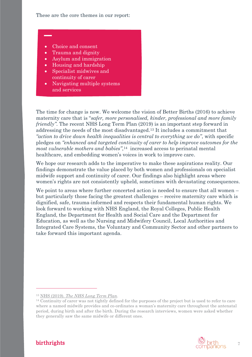These are the core themes in our report:

- Choice and consent
- Trauma and dignity
- Asylum and immigration
- Housing and hardship
- Specialist midwives and continuity of carer
- Navigating multiple systems and services

The time for change is now. We welcome the vision of Better Births (2016) to achieve maternity care that is "*safer, more personalised, kinder, professional and more family friendly*". The recent NHS Long Term Plan (2019) is an important step forward in addressing the needs of the most disadvantaged.<sup>13</sup> It includes a commitment that *"action to drive down health inequalities is central to everything we do"*, with specific pledges on *"enhanced and targeted continuity of carer to help improve outcomes for the most vulnerable mothers and babies"*, <sup>14</sup> increased access to perinatal mental healthcare, and embedding women's voices in work to improve care.

We hope our research adds to the imperative to make these aspirations reality. Our findings demonstrate the value placed by both women and professionals on specialist midwife support and continuity of carer. Our findings also highlight areas where women's rights are not consistently upheld, sometimes with devastating consequences.

We point to areas where further concerted action is needed to ensure that all women – but particularly those facing the greatest challenges – receive maternity care which is dignified, safe, trauma-informed and respects their fundamental human rights. We look forward to working with NHS England, the Royal Colleges, Public Health England, the Department for Health and Social Care and the Department for Education, as well as the Nursing and Midwifery Council, Local Authorities and Integrated Care Systems, the Voluntary and Community Sector and other partners to take forward this important agenda.

<sup>14</sup> Continuity of carer was not tightly defined for the purposes of the project but is used to refer to care where a named midwife provides and co-ordinates a woman's maternity care throughout the antenatal period, during birth and after the birth. During the research interviews, women were asked whether they generally saw the same midwife or different ones.



<sup>13</sup> NHS (2019). *[The NHS Long Term Plan](https://www.longtermplan.nhs.uk/wp-content/uploads/2019/01/nhs-long-term-plan.pdf)*.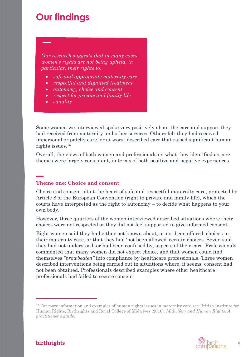### **Our findings**

*Our research suggests that in many cases women's rights are not being upheld, in particular, their rights to:*

- *safe and appropriate maternity care*
- *respectful and dignified treatment*
- *autonomy, choice and consent*
- *respect for private and family life*
- *equality*

Some women we interviewed spoke very positively about the care and support they had received from maternity and other services. Others felt they had received impersonal or patchy care, or at worst described care that raised significant human rights issues.<sup>15</sup>

Overall, the views of both women and professionals on what they identified as core themes were largely consistent, in terms of both positive and negative experiences.

#### **Theme one: Choice and consent**

Choice and consent sit at the heart of safe and respectful maternity care, protected by Article 8 of the European Convention (right to private and family life), which the courts have interpreted as the right to autonomy – to decide what happens to your own body.

However, three quarters of the women interviewed described situations where their choices were not respected or they did not feel supported to give informed consent.

Eight women said they had either not known about, or not been offered, choices in their maternity care, or that they had 'not been allowed' certain choices. Seven said they had not understood, or had been confused by, aspects of their care. Professionals commented that many women did not expect choice, and that women could find themselves *"browbeaten"* into compliance by healthcare professionals. Three women described interventions being carried out in situations where, it seems, consent had not been obtained. Professionals described examples where other healthcare professionals had failed to secure consent.

<sup>&</sup>lt;sup>15</sup> For more information and examples of human rights issues in maternity care see British Institute for [Human Rights, Birthrights and Royal College of Midwives \(2016\).](https://birthrights.org.uk/wp-content/uploads/2019/03/Midwifery_Web_Version-2.pdf) *Midwifery and Human Rights: A [practitioner's guide](https://birthrights.org.uk/wp-content/uploads/2019/03/Midwifery_Web_Version-2.pdf)*.

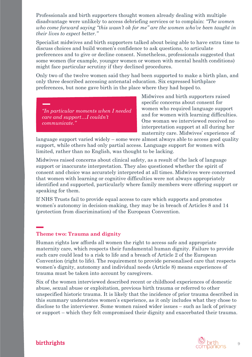Professionals and birth supporters thought women already dealing with multiple disadvantage were unlikely to access debriefing services or to complain: *"The women who come forward saying "this wasn't ok for me" are the women who've been taught in their lives to expect better."*

Specialist midwives and birth supporters talked about being able to have extra time to discuss choices and build women's confidence to ask questions, to articulate preferences and to give or decline consent. Nonetheless, professionals suggested that some women (for example, younger women or women with mental health conditions) might face particular scrutiny if they declined procedures.

Only two of the twelve women said they had been supported to make a birth plan, and only three described accessing antenatal education. Six expressed birthplace preferences, but none gave birth in the place where they had hoped to.

*"In particular moments when I needed care and support…I couldn't communicate."*

Midwives and birth supporters raised specific concerns about consent for women who required language support and for women with learning difficulties. One woman we interviewed received no interpretation support at all during her maternity care. Midwives' experience of

language support varied widely – some were almost always able to access good quality support, while others had only partial access. Language support for women with limited, rather than no English, was thought to be lacking.

Midwives raised concerns about clinical safety, as a result of the lack of language support or inaccurate interpretation. They also questioned whether the spirit of consent and choice was accurately interpreted at all times. Midwives were concerned that women with learning or cognitive difficulties were not always appropriately identified and supported, particularly where family members were offering support or speaking for them.

If NHS Trusts fail to provide equal access to care which supports and promotes women's autonomy in decision-making, they may be in breach of Articles 8 and 14 (protection from discrimination) of the European Convention.

#### **Theme two: Trauma and dignity**

Human rights law affords all women the right to access safe and appropriate maternity care, which respects their fundamental human dignity. Failure to provide such care could lead to a risk to life and a breach of Article 2 of the European Convention (right to life). The requirement to provide personalised care that respects women's dignity, autonomy and individual needs (Article 8) means experiences of trauma must be taken into account by caregivers.

Six of the women interviewed described recent or childhood experiences of domestic abuse, sexual abuse or exploitation, previous birth trauma or referred to other unspecified historic trauma. It is likely that the incidence of prior trauma described in this summary understates women's experience, as it only includes what they chose to disclose to the interviewer. Some women raised wider issues – such as lack of privacy or support – which they felt compromised their dignity and exacerbated their trauma.

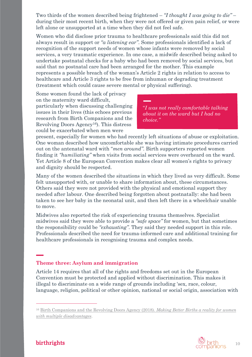Two thirds of the women described being frightened – *"I thought I was going to die"* – during their most recent birth, when they were not offered or given pain relief, or were left alone or unsupported at a time when they did not feel safe.

Women who did disclose prior trauma to healthcare professionals said this did not always result in support or *"a listening ear"*. Some professionals identified a lack of recognition of the support needs of women whose infants were removed by social services, a very traumatic experience. In one case, a midwife described being asked to undertake postnatal checks for a baby who had been removed by social services, but said that no postnatal care had been arranged for the mother. This example represents a possible breach of the woman's Article 2 rights in relation to access to healthcare and Article 3 rights to be free from inhuman or degrading treatment (treatment which could cause severe mental or physical suffering).

Some women found the lack of privacy on the maternity ward difficult, particularly when discussing challenging issues in their lives (this echoes previous research from Birth Companions and the Revolving Doors Agency16). This distress could be exacerbated when men were

"*I was not really comfortable talking about it on the ward but I had no choice."*

present, especially for women who had recently left situations of abuse or exploitation. One woman described how uncomfortable she was having intimate procedures carried out on the antenatal ward with "*men around"*. Birth supporters reported women finding it *"humiliating"* when visits from social services were overheard on the ward. Yet Article 8 of the European Convention makes clear all women's rights to privacy and dignity should be respected.

Many of the women described the situations in which they lived as very difficult. Some felt unsupported with, or unable to share information about, these circumstances. Others said they were not provided with the physical and emotional support they needed after labour. One described being forgotten about postnatally: she had been taken to see her baby in the neonatal unit, and then left there in a wheelchair unable to move.

Midwives also reported the risk of experiencing trauma themselves. Specialist midwives said they were able to provide a *"safe space"* for women, but that sometimes the responsibility could be *"exhausting"*. They said they needed support in this role. Professionals described the need for trauma-informed care and additional training for healthcare professionals in recognising trauma and complex needs.

#### **Theme three: Asylum and immigration**

Article 14 requires that all of the rights and freedoms set out in the European Convention must be protected and applied without discrimination. This makes it illegal to discriminate on a wide range of grounds including 'sex, race, colour, language, religion, political or other opinion, national or social origin, association with

<sup>16</sup> [Birth Companions and the Revolving Doors Agency \(2018\).](https://www.birthcompanions.org.uk/resources/6-making-better-births-a-reality-for-women-with-multiple-disadvantages) *Making Better Births a reality for women [with multiple disadvantages](https://hubble-live-assets.s3.amazonaws.com/birth-companions/attachment/file/7/RDA_BC-REPORT_WEB_FINAL.pdf)*.

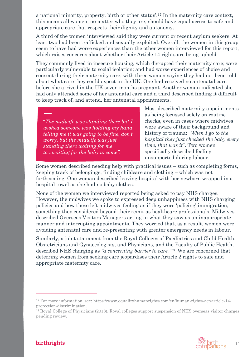a national minority, property, birth or other status'.<sup>17</sup> In the maternity care context, this means all women, no matter who they are, should have equal access to safe and appropriate care that respects their dignity and autonomy.

A third of the women interviewed said they were current or recent asylum seekers. At least two had been trafficked and sexually exploited. Overall, the women in this group seem to have had worse experiences than the other women interviewed for this report, which raises concerns about whether their Article 14 rights are being upheld.

They commonly lived in insecure housing, which disrupted their maternity care; were particularly vulnerable to social isolation; and had worse experiences of choice and consent during their maternity care, with three women saying they had not been told about what care they could expect in the UK. One had received no antenatal care before she arrived in the UK seven months pregnant. Another woman indicated she had only attended some of her antenatal care and a third described finding it difficult to keep track of, and attend, her antenatal appointments.

"*The midwife was standing there but I wished someone was holding my hand, telling me it was going to be fine, don't worry, but the midwife was just standing there waiting for me to...waiting for the baby to come".* 

Most described maternity appointments as being focussed solely on routine checks, even in cases where midwives were aware of their background and history of trauma: "*When I go to the hospital they just checked the baby every time, that was it*". Two women specifically described feeling unsupported during labour.

Some women described needing help with practical issues – such as completing forms, keeping track of belongings, finding childcare and clothing – which was not forthcoming. One woman described leaving hospital with her newborn wrapped in a hospital towel as she had no baby clothes.

None of the women we interviewed reported being asked to pay NHS charges. However, the midwives we spoke to expressed deep unhappiness with NHS charging policies and how these left midwives feeling as if they were 'policing' immigration, something they considered beyond their remit as healthcare professionals. Midwives described Overseas Visitors Managers acting in what they saw as an inappropriate manner and interrupting appointments. They worried that, as a result, women were avoiding antenatal care and re-presenting with greater emergency needs in labour.

Similarly, a joint statement from the Royal Colleges of Paediatrics and Child Health, Obstetricians and Gynaecologists, and Physicians, and the Faculty of Public Health, described NHS charging as *"a concerning barrier to care."18* We are concerned that deterring women from seeking care jeopardises their Article 2 rights to safe and appropriate maternity care.

<sup>18</sup> [Royal College of Physicians \(2018\). Royal colleges support suspension of NHS overseas visitor charges](https://www.rcplondon.ac.uk/news/royal-colleges-support-suspension-nhs-overseas-visitor-charges-pending-review)  [pending review](https://www.rcplondon.ac.uk/news/royal-colleges-support-suspension-nhs-overseas-visitor-charges-pending-review)*.*



<sup>17</sup> For more information, see: [https://www.equalityhumanrights.com/en/human-rights-act/article-14](https://www.equalityhumanrights.com/en/human-rights-act/article-14-protection-discrimination) [protection-discrimination.](https://www.equalityhumanrights.com/en/human-rights-act/article-14-protection-discrimination)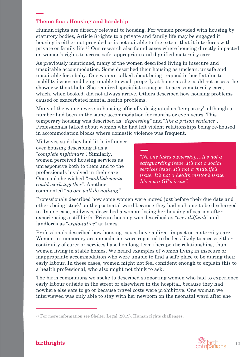#### **Theme four: Housing and hardship**

Human rights are directly relevant to housing. For women provided with housing by statutory bodies, Article 8 rights to a private and family life may be engaged if housing is either not provided or is not suitable to the extent that it interferes with private or family life.<sup>19</sup> Our research also found cases where housing directly impacted on women's rights to access safe, appropriate and dignified maternity care.

As previously mentioned, many of the women described living in insecure and unsuitable accommodation. Some described their housing as unclean, unsafe and unsuitable for a baby. One woman talked about being trapped in her flat due to mobility issues and being unable to wash properly at home as she could not access the shower without help. She required specialist transport to access maternity care, which, when booked, did not always arrive. Others described how housing problems caused or exacerbated mental health problems.

Many of the women were in housing officially designated as 'temporary', although a number had been in the same accommodation for months or even years. This temporary housing was described as "*depressing"* and "*like a prison sentence"*. Professionals talked about women who had left violent relationships being re-housed in accommodation blocks where domestic violence was frequent.

Midwives said they had little influence over housing describing it as a "*complete nightmare"*. Similarly, women perceived housing services as unresponsive both to them and to the professionals involved in their care. One said she wished *"establishments could work together*". Another commented "*no one will do nothing"*.

*"No one takes ownership…It's not a safeguarding issue. It's not a social services issue. It's not a midwife's issue. It's not a health visitor's issue. It's not a GP's issue"*.

Professionals described how some women were moved just before their due date and others being 'stuck' on the postnatal ward because they had no home to be discharged to. In one case, midwives described a woman losing her housing allocation after experiencing a stillbirth. Private housing was described as *"very difficult*" and landlords as "*exploitative*" at times.

Professionals described how housing issues have a direct impact on maternity care. Women in temporary accommodation were reported to be less likely to access either continuity of carer or services based on long-term therapeutic relationships, than women living in stable homes. We heard examples of women living in insecure or inappropriate accommodation who were unable to find a safe place to be during their early labour. In these cases, women might not feel confident enough to explain this to a health professional, who also might not think to ask.

The birth companions we spoke to described supporting women who had to experience early labour outside in the street or elsewhere in the hospital, because they had nowhere else safe to go or because travel costs were prohibitive. One woman we interviewed was only able to stay with her newborn on the neonatal ward after she



<sup>&</sup>lt;sup>19</sup> For more information see [Shelter Legal \(2019\). Human rights challenges.](http://england.shelter.org.uk/legal/homelessness_applications/challenging_la_decisions/human_rights_challenges#2)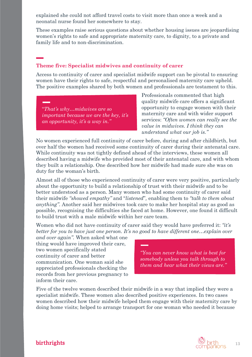explained she could not afford travel costs to visit more than once a week and a neonatal nurse found her somewhere to stay.

These examples raise serious questions about whether housing issues are jeopardising women's rights to safe and appropriate maternity care, to dignity, to a private and family life and to non-discrimination.

#### **Theme five: Specialist midwives and continuity of carer**

Access to continuity of carer and specialist midwife support can be pivotal to ensuring women have their rights to safe, respectful and personalised maternity care upheld. The positive examples shared by both women and professionals are testament to this.

"*That's why…midwives are so important because we are the key, it's an opportunity, it's a way in."*

Professionals commented that high quality midwife care offers a significant opportunity to engage women with their maternity care and with wider support services: *"Often women can really see the value in midwives. I think they can understand what our job is."*

No women experienced full continuity of carer before, during and after childbirth, but over half the women had received some continuity of carer during their antenatal care. While continuity was not tightly defined ahead of the interviews, these women all described having a midwife who provided most of their antenatal care, and with whom they built a relationship. One described how her midwife had made sure she was on duty for the woman's birth.

Almost all of those who experienced continuity of carer were very positive, particularly about the opportunity to build a relationship of trust with their midwife and to be better understood as a person. Many women who had some continuity of carer said their midwife *"showed empathy"* and "*listened*"*,* enabling them to *"talk to them about anything"*. Another said her midwives took care to make her hospital stay as good as possible, recognising the difficulties she faced at home. However, one found it difficult to build trust with a male midwife within her care team.

Women who did not have continuity of carer said they would have preferred it: *"it's better for you to have just one person. It's no good to have different one…explain over* 

*and over again".* When asked what one thing would have improved their care, two women specifically stated continuity of carer and better communication. One woman said she appreciated professionals checking the records from her previous pregnancy to inform their care.

*"You can never know what is best for somebody unless you talk through to them and hear what their views are."*

Five of the twelve women described their midwife in a way that implied they were a specialist midwife. These women also described positive experiences. In two cases women described how their midwife helped them engage with their maternity care by doing home visits; helped to arrange transport for one woman who needed it because

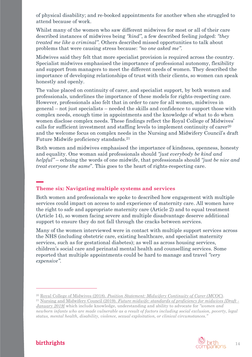of physical disability; and re-booked appointments for another when she struggled to attend because of work.

Whilst many of the women who saw different midwives for most or all of their care described instances of midwives being *"kind"*, a few described feeling judged: *"they treated me like a criminal"*. Others described missed opportunities to talk about problems that were causing stress because: *"no one asked me"*.

Midwives said they felt that more specialist provision is required across the country. Specialist midwives emphasised the importance of professional autonomy, flexibility and support from managers to meet the different needs of women. They described the importance of developing relationships of trust with their clients, so women can speak honestly and openly.

The value placed on continuity of carer, and specialist support, by both women and professionals, underlines the importance of these models for rights-respecting care. However, professionals also felt that in order to care for all women, midwives in general – not just specialists – needed the skills and confidence to support those with complex needs, enough time in appointments and the knowledge of what to do when women disclose complex needs. These findings reflect the Royal College of Midwives' calls for sufficient investment and staffing levels to implement continuity of carer<sup>20</sup> and the welcome focus on complex needs in the Nursing and Midwifery Council's draft Future Midwife proficiency standards.<sup>21</sup>

Both women and midwives emphasised the importance of kindness, openness, honesty and equality. One woman said professionals should *"just everybody be kind and helpful"* – echoing the words of one midwife, that professionals should *"just be nice and treat everyone the same*"*.* This goes to the heart of rights-respecting care.

#### **Theme six: Navigating multiple systems and services**

Both women and professionals we spoke to described how engagement with multiple services could impact on access to and experience of maternity care. All women have the right to safe and appropriate maternity care (Article 2) and to equal treatment (Article 14), so women facing severe and multiple disadvantage deserve additional support to ensure they do not fall through the cracks between services.

Many of the women interviewed were in contact with multiple support services across the NHS (including obstetric care, existing healthcare, and specialist maternity services, such as for gestational diabetes); as well as across housing services, children's social care and perinatal mental health and counselling services. Some reported that multiple appointments could be hard to manage and travel *"very expensive"*.

*newborn infants who are made vulnerable as a result of factors including social exclusion, poverty, legal status, mental health, disability, violence, sexual exploitation, or clinical circumstances."*



<sup>20</sup> Royal College of Midwives (2018). *[Position Statement: Midwifery Continuity of Carer \(MCOC\)](https://www.rcm.org.uk/media/2946/midwifery-continuity-of-carer-mcoc.pdf)*.

<sup>21</sup> Nursing and Midwifery Council (2019). *[Future midwife: standards of proficiency for midwives \[Draft -](https://www.nmc.org.uk/globalassets/sitedocuments/midwifery/future-midwife-consultation/draft-standards-of-proficiency-for-midwives.pdf) [January 2019\]](https://www.nmc.org.uk/globalassets/sitedocuments/midwifery/future-midwife-consultation/draft-standards-of-proficiency-for-midwives.pdf)* which include knowledge, understanding and ability to advocate for *"women and*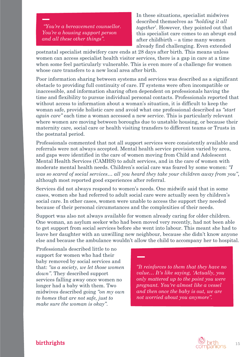*"You're a bereavement counsellor. You're a housing support person and all these other things"*.

In these situations, specialist midwives described themselves as *"holding it all together*'. However, they pointed out that this specialist care comes to an abrupt end after childbirth – a time many women already find challenging. Even extended

postnatal specialist midwifery care ends at 28 days after birth. This means unless women can access specialist health visitor services, there is a gap in care at a time when some feel particularly vulnerable. This is even more of a challenge for women whose care transfers to a new local area after birth.

Poor information sharing between systems and services was described as a significant obstacle to providing full continuity of care. IT systems were often incompatible or inaccessible, and information sharing often dependent on professionals having the time and flexibility to pursue individual personal contacts. Professionals reported that without access to information about a woman's situation, it is difficult to keep the woman safe, provide holistic care and avoid what one professional described as *"start again care"* each time a woman accessed a new service. This is particularly relevant where women are moving between boroughs due to unstable housing, or because their maternity care, social care or health visiting transfers to different teams or Trusts in the postnatal period.

Professionals commented that not all support services were consistently available and referrals were not always accepted. Mental health service provision varied by area, and gaps were identified in the care of women moving from Child and Adolescent Mental Health Services (CAMHS) to adult services, and in the care of women with moderate mental health needs. Children's social care was feared by some women: *"I was so scared of social services… all you heard they take your children away from you"*, although most reported good experiences after referral.

Services did not always respond to women's needs. One midwife said that in some cases, women she had referred to adult social care were actually seen by children's social care. In other cases, women were unable to access the support they needed because of their personal circumstances and the complexities of their needs.

Support was also not always available for women already caring for older children. One woman, an asylum seeker who had been moved very recently, had not been able to get support from social services before she went into labour. This meant she had to leave her daughter with an unwilling new neighbour, because she didn't know anyone else and because the ambulance wouldn't allow the child to accompany her to hospital.

Professionals described little to no support for women who had their baby removed by social services and that: *"as a society, we let those women down"*. They described support services falling away once women no longer had a baby with them. Two midwives described going *"on my own to homes that are not safe, just to make sure the woman is okay"*.

*"It reinforces to them that they have no value… It's like saying, 'Actually, you only mattered up to the point you were pregnant. You're almost like a vessel and then once the baby is out, we are not worried about you anymore".* 

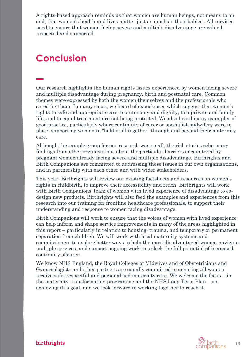A rights-based approach reminds us that women are human beings, not means to an end; that women's health and lives matter just as much as their babies'. All services need to ensure that women facing severe and multiple disadvantage are valued, respected and supported.

### **Conclusion**

Our research highlights the human rights issues experienced by women facing severe and multiple disadvantage during pregnancy, birth and postnatal care. Common themes were expressed by both the women themselves and the professionals who cared for them. In many cases, we heard of experiences which suggest that women's rights to safe and appropriate care, to autonomy and dignity, to a private and family life, and to equal treatment are not being protected. We also heard many examples of good practice, particularly where continuity of carer or specialist midwifery were in place, supporting women to "hold it all together" through and beyond their maternity care.

Although the sample group for our research was small, the rich stories echo many findings from other organisations about the particular barriers encountered by pregnant women already facing severe and multiple disadvantage. Birthrights and Birth Companions are committed to addressing these issues in our own organisations, and in partnership with each other and with wider stakeholders.

This year, Birthrights will review our existing factsheets and resources on women's rights in childbirth, to improve their accessibility and reach. Birthrights will work with Birth Companions' team of women with lived experience of disadvantage to codesign new products. Birthrights will also feed the examples and experiences from this research into our training for frontline healthcare professionals, to support their understanding and response to women facing disadvantage.

Birth Companions will work to ensure that the voices of women with lived experience can help inform and shape service improvements in many of the areas highlighted in this report – particularly in relation to housing, trauma, and temporary or permanent separation from children. We will work with local maternity systems and commissioners to explore better ways to help the most disadvantaged women navigate multiple services, and support ongoing work to unlock the full potential of increased continuity of carer.

We know NHS England, the Royal Colleges of Midwives and of Obstetricians and Gynaecologists and other partners are equally committed to ensuring all women receive safe, respectful and personalised maternity care. We welcome the focus – in the maternity transformation programme and the NHS Long Term Plan – on achieving this goal, and we look forward to working together to reach it.

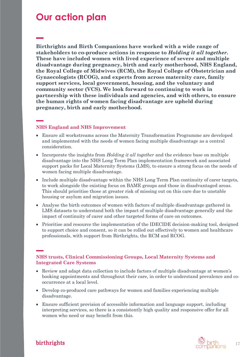### **Our action plan**

**Birthrights and Birth Companions have worked with a wide range of stakeholders to co-produce actions in response to** *Holding it all together***. These have included women with lived experience of severe and multiple disadvantage during pregnancy, birth and early motherhood, NHS England, the Royal College of Midwives (RCM), the Royal College of Obstetrician and Gynaecologists (RCOG), and experts from across maternity care, family support services, local government, housing, and the voluntary and community sector (VCS). We look forward to continuing to work in partnership with these individuals and agencies, and with others, to ensure the human rights of women facing disadvantage are upheld during pregnancy, birth and early motherhood.**

#### **NHS England and NHS Improvement**

- Ensure all workstreams across the Maternity Transformation Programme are developed and implemented with the needs of women facing multiple disadvantage as a central consideration.
- Incorporate the insights from *Holding it all together* and the evidence base on multiple disadvantage into the NHS Long Term Plan implementation framework and associated support packs for Local Maternity Systems (LMS), to ensure a strong focus on the needs of women facing multiple disadvantage.
- Include multiple disadvantage within the NHS Long Term Plan continuity of carer targets, to work alongside the existing focus on BAME groups and those in disadvantaged areas. This should prioritise those at greater risk of missing out on this care due to unstable housing or asylum and migration issues.
- Analyse the birth outcomes of women with factors of multiple disadvantage gathered in LMS datasets to understand both the impact of multiple disadvantage generally and the impact of continuity of carer and other targeted forms of care on outcomes.
- Prioritise and resource the implementation of the IDECIDE decision-making tool, designed to support choice and consent, so it can be rolled out effectively to women and healthcare professionals, with support from Birthrights, the RCM and RCOG.

#### **NHS trusts, Clinical Commissioning Groups, Local Maternity Systems and Integrated Care Systems**

- Review and adapt data collection to include factors of multiple disadvantage at women's booking appointments and throughout their care, in order to understand prevalence and cooccurrence at a local level.
- Develop co-produced care pathways for women and families experiencing multiple disadvantage.
- Ensure sufficient provision of accessible information and language support, including interpreting services, so there is a consistently high quality and responsive offer for all women who need or may benefit from this.



#### birthrights

17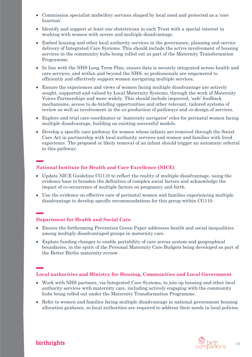- Commission specialist midwifery services shaped by local need and protected as a 'core function'.
- Identify and support at least one obstetrician in each Trust with a special interest in working with women with severe and multiple disadvantage.
- Embed housing and other local authority services in the governance, planning and service delivery of Integrated Care Systems. This should include the active involvement of housing services in the community hubs being rolled out as part of the Maternity Transformation Programme.
- In line with the NHS Long Term Plan, ensure data is securely integrated across health and care services, and within and beyond the NHS, so professionals are empowered to efficiently and effectively support women navigating multiple services.
- Ensure the experiences and views of women facing multiple disadvantage are actively sought, supported and valued by Local Maternity Systems, through the work of Maternity Voices Partnerships and more widely. This should include improved, 'safe' feedback mechanisms, access to de-briefing opportunities and other relevant, tailored systems of review as well as involvement in the co-production of pathways and co-design of services.
- Explore and trial care-coordinator or 'maternity navigator' roles for perinatal women facing multiple disadvantage, building on existing successful models.
- Develop a specific care pathway for women whose infants are removed through the Social Care Act in partnership with local authority services and women and families with lived experience. The proposed or likely removal of an infant should trigger an automatic referral to this pathway.

#### **National Institute for Health and Care Excellence (NICE)**

- Update NICE Guideline CG110 to reflect the reality of multiple disadvantage, using the evidence base to broaden the definition of complex social factors and acknowledge the impact of co-occurrence of multiple factors on pregnancy and birth.
- Use the evidence on effective care of perinatal women and families experiencing multiple disadvantage to develop specific recommendations for this group within CG110.

#### **Department for Health and Social Care**

- Ensure the forthcoming Prevention Green Paper addresses health and social inequalities among multiply disadvantaged groups in maternity care.
- Explore funding changes to enable portability of care across system and geographical boundaries, in the spirit of the Personal Maternity Care Budgets being developed as part of the Better Births maternity review.

#### **Local authorities and Ministry for Housing, Communities and Local Government**

- Work with NHS partners, via Integrated Care Systems, to join up housing and other local authority services with maternity care, including actively engaging with the community hubs being rolled out under the Maternity Transformation Programme.
- Refer to women and families facing multiple disadvantage in national government housing allocation guidance, so local authorities are required to address their needs in local policies.